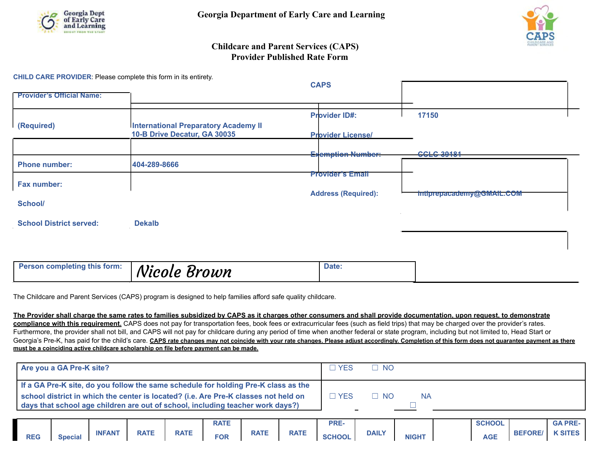



## **Childcare and Parent Services (CAPS) Provider Published Rate Form**

**CHILD CARE PROVIDER**: Please complete this form in its entirety.

| <b>Provider's Official Name:</b> |                                                                             | <b>CAPS</b>                |                           |
|----------------------------------|-----------------------------------------------------------------------------|----------------------------|---------------------------|
|                                  |                                                                             |                            |                           |
|                                  |                                                                             | <b>Provider ID#:</b>       | 17150                     |
| (Required)                       | <b>International Preparatory Academy II</b><br>10-B Drive Decatur, GA 30035 | <b>Provider License/</b>   |                           |
|                                  |                                                                             | <b>Exemption Number:</b>   | <b>CCLC-39181</b>         |
| <b>Phone number:</b>             | 404-289-8666                                                                | <b>Provider's Email</b>    |                           |
| Fax number:                      |                                                                             |                            |                           |
| <b>School/</b>                   |                                                                             | <b>Address (Required):</b> | intiprepacademy@GMAIL.COM |
| <b>School District served:</b>   | <b>Dekalb</b>                                                               |                            |                           |
|                                  |                                                                             |                            |                           |
| Person completing this form:     | Nicole Brown                                                                | Date:                      |                           |

The Childcare and Parent Services (CAPS) program is designed to help families afford safe quality childcare.

**The Provider shall charge the same rates to families subsidized by CAPS as it charges other consumers and shall provide documentation, upon request, to demonstrate compliance with this requirement.** CAPS does not pay for transportation fees, book fees or extracurricular fees (such as field trips) that may be charged over the provider's rates. Furthermore, the provider shall not bill, and CAPS will not pay for childcare during any period of time when another federal or state program, including but not limited to, Head Start or Georgia's Pre-K, has paid for the child's care. CAPS rate changes may not coincide with your rate changes. Please adjust accordingly. Completion of this form does not guarantee payment as there **must be a coinciding active childcare scholarship on file before payment can be made.**

| Are you a GA Pre-K site?                                                                                                                                              | <b>YES</b>  | . TINO.   |           |  |
|-----------------------------------------------------------------------------------------------------------------------------------------------------------------------|-------------|-----------|-----------|--|
| If a GA Pre-K site, do you follow the same schedule for holding Pre-K class as the                                                                                    |             |           |           |  |
| school district in which the center is located? (i.e. Are Pre-K classes not held on<br>days that school age children are out of school, including teacher work days?) | <b>TYES</b> | $\Box$ No | <b>NA</b> |  |

|            |                |               |             |             | <b>RATE</b> |             |             | PRE-          |              |              | <b>SCHOOL</b> |                | <b>GA PRE-</b> |
|------------|----------------|---------------|-------------|-------------|-------------|-------------|-------------|---------------|--------------|--------------|---------------|----------------|----------------|
| <b>REG</b> | <b>Special</b> | <b>INFANT</b> | <b>RATE</b> | <b>RATE</b> | <b>FOR</b>  | <b>RATE</b> | <b>RATE</b> | <b>SCHOOL</b> | <b>DAILY</b> | <b>NIGHT</b> | <b>AGE</b>    | <b>BEFORE/</b> | <b>K SITES</b> |